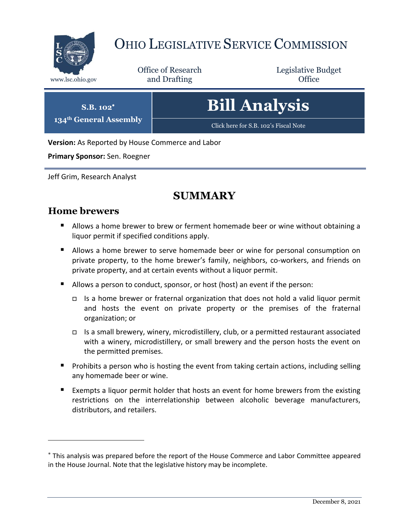

# OHIO LEGISLATIVE SERVICE COMMISSION

Office of Research www.lsc.ohio.gov **and Drafting Office** 

Legislative Budget

**Bill Analysis**

[Click here for S.B. 102](https://www.legislature.ohio.gov/legislation/legislation-documents?id=GA134-SB-102)'s Fiscal Note

**Version:** As Reported by House Commerce and Labor

**Primary Sponsor:** Sen. Roegner

**S.B. 102 134th General Assembly**

Jeff Grim, Research Analyst

## **SUMMARY**

### **Home brewers**

- **Allows a home brewer to brew or ferment homemade beer or wine without obtaining a** liquor permit if specified conditions apply.
- Allows a home brewer to serve homemade beer or wine for personal consumption on private property, to the home brewer's family, neighbors, co-workers, and friends on private property, and at certain events without a liquor permit.
- Allows a person to conduct, sponsor, or host (host) an event if the person:
	- Is a home brewer or fraternal organization that does not hold a valid liquor permit and hosts the event on private property or the premises of the fraternal organization; or
	- Is a small brewery, winery, microdistillery, club, or a permitted restaurant associated with a winery, microdistillery, or small brewery and the person hosts the event on the permitted premises.
- **Prohibits a person who is hosting the event from taking certain actions, including selling** any homemade beer or wine.
- Exempts a liquor permit holder that hosts an event for home brewers from the existing restrictions on the interrelationship between alcoholic beverage manufacturers, distributors, and retailers.

This analysis was prepared before the report of the House Commerce and Labor Committee appeared in the House Journal. Note that the legislative history may be incomplete.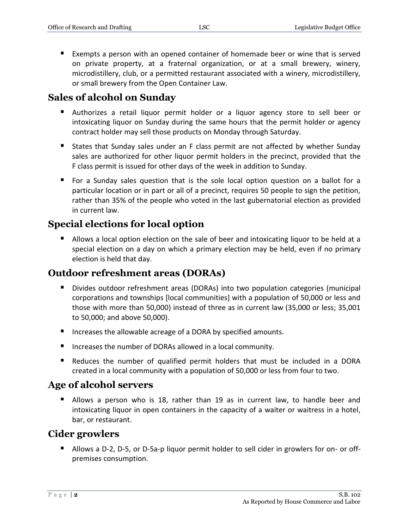Exempts a person with an opened container of homemade beer or wine that is served on private property, at a fraternal organization, or at a small brewery, winery, microdistillery, club, or a permitted restaurant associated with a winery, microdistillery, or small brewery from the Open Container Law.

### **Sales of alcohol on Sunday**

- Authorizes a retail liquor permit holder or a liquor agency store to sell beer or intoxicating liquor on Sunday during the same hours that the permit holder or agency contract holder may sell those products on Monday through Saturday.
- **States that Sunday sales under an F class permit are not affected by whether Sunday** sales are authorized for other liquor permit holders in the precinct, provided that the F class permit is issued for other days of the week in addition to Sunday.
- For a Sunday sales question that is the sole local option question on a ballot for a particular location or in part or all of a precinct, requires 50 people to sign the petition, rather than 35% of the people who voted in the last gubernatorial election as provided in current law.

### **Special elections for local option**

 Allows a local option election on the sale of beer and intoxicating liquor to be held at a special election on a day on which a primary election may be held, even if no primary election is held that day.

### **Outdoor refreshment areas (DORAs)**

- Divides outdoor refreshment areas (DORAs) into two population categories (municipal corporations and townships [local communities] with a population of 50,000 or less and those with more than 50,000) instead of three as in current law (35,000 or less; 35,001 to 50,000; and above 50,000).
- Increases the allowable acreage of a DORA by specified amounts.
- Increases the number of DORAs allowed in a local community.
- Reduces the number of qualified permit holders that must be included in a DORA created in a local community with a population of 50,000 or less from four to two.

### **Age of alcohol servers**

 Allows a person who is 18, rather than 19 as in current law, to handle beer and intoxicating liquor in open containers in the capacity of a waiter or waitress in a hotel, bar, or restaurant.

### **Cider growlers**

 Allows a D-2, D-5, or D-5a-p liquor permit holder to sell cider in growlers for on- or offpremises consumption.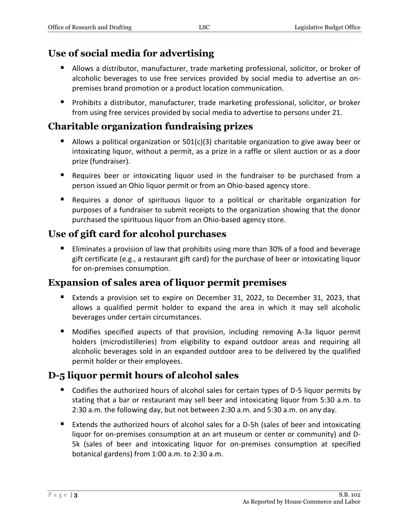### **Use of social media for advertising**

- Allows a distributor, manufacturer, trade marketing professional, solicitor, or broker of alcoholic beverages to use free services provided by social media to advertise an onpremises brand promotion or a product location communication.
- **Prohibits a distributor, manufacturer, trade marketing professional, solicitor, or broker** from using free services provided by social media to advertise to persons under 21.

### **Charitable organization fundraising prizes**

- Allows a political organization or  $501(c)(3)$  charitable organization to give away beer or intoxicating liquor, without a permit, as a prize in a raffle or silent auction or as a door prize (fundraiser).
- **E** Requires beer or intoxicating liquor used in the fundraiser to be purchased from a person issued an Ohio liquor permit or from an Ohio-based agency store.
- Requires a donor of spirituous liquor to a political or charitable organization for purposes of a fundraiser to submit receipts to the organization showing that the donor purchased the spirituous liquor from an Ohio-based agency store.

### **Use of gift card for alcohol purchases**

**Eliminates a provision of law that prohibits using more than 30% of a food and beverage** gift certificate (e.g., a restaurant gift card) for the purchase of beer or intoxicating liquor for on-premises consumption.

### **Expansion of sales area of liquor permit premises**

- Extends a provision set to expire on December 31, 2022, to December 31, 2023, that allows a qualified permit holder to expand the area in which it may sell alcoholic beverages under certain circumstances.
- Modifies specified aspects of that provision, including removing A-3a liquor permit holders (microdistilleries) from eligibility to expand outdoor areas and requiring all alcoholic beverages sold in an expanded outdoor area to be delivered by the qualified permit holder or their employees.

### **D-5 liquor permit hours of alcohol sales**

- Codifies the authorized hours of alcohol sales for certain types of D-5 liquor permits by stating that a bar or restaurant may sell beer and intoxicating liquor from 5:30 a.m. to 2:30 a.m. the following day, but not between 2:30 a.m. and 5:30 a.m. on any day.
- Extends the authorized hours of alcohol sales for a D-5h (sales of beer and intoxicating liquor for on-premises consumption at an art museum or center or community) and D-5k (sales of beer and intoxicating liquor for on-premises consumption at specified botanical gardens) from 1:00 a.m. to 2:30 a.m.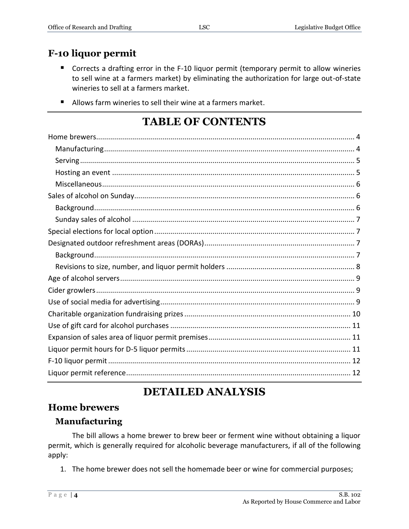### **F-10 liquor permit**

- Corrects a drafting error in the F-10 liquor permit (temporary permit to allow wineries to sell wine at a farmers market) by eliminating the authorization for large out-of-state wineries to sell at a farmers market.
- Allows farm wineries to sell their wine at a farmers market.

# **TABLE OF CONTENTS**

# **DETAILED ANALYSIS**

#### <span id="page-3-0"></span>**Home brewers**

#### <span id="page-3-1"></span>**Manufacturing**

The bill allows a home brewer to brew beer or ferment wine without obtaining a liquor permit, which is generally required for alcoholic beverage manufacturers, if all of the following apply:

1. The home brewer does not sell the homemade beer or wine for commercial purposes;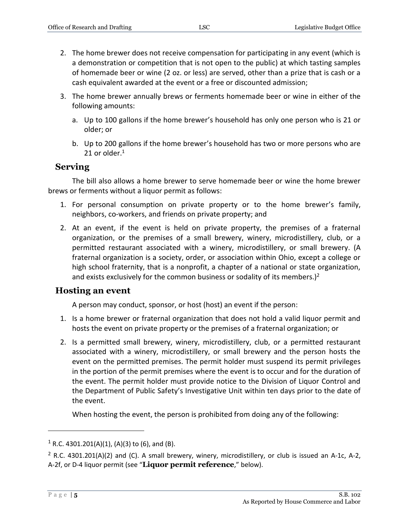- 2. The home brewer does not receive compensation for participating in any event (which is a demonstration or competition that is not open to the public) at which tasting samples of homemade beer or wine (2 oz. or less) are served, other than a prize that is cash or a cash equivalent awarded at the event or a free or discounted admission;
- 3. The home brewer annually brews or ferments homemade beer or wine in either of the following amounts:
	- a. Up to 100 gallons if the home brewer's household has only one person who is 21 or older; or
	- b. Up to 200 gallons if the home brewer's household has two or more persons who are 21 or older. $1$

#### <span id="page-4-0"></span>**Serving**

The bill also allows a home brewer to serve homemade beer or wine the home brewer brews or ferments without a liquor permit as follows:

- 1. For personal consumption on private property or to the home brewer's family, neighbors, co-workers, and friends on private property; and
- 2. At an event, if the event is held on private property, the premises of a fraternal organization, or the premises of a small brewery, winery, microdistillery, club, or a permitted restaurant associated with a winery, microdistillery, or small brewery. (A fraternal organization is a society, order, or association within Ohio, except a college or high school fraternity, that is a nonprofit, a chapter of a national or state organization, and exists exclusively for the common business or sodality of its members.)<sup>2</sup>

#### <span id="page-4-1"></span>**Hosting an event**

A person may conduct, sponsor, or host (host) an event if the person:

- 1. Is a home brewer or fraternal organization that does not hold a valid liquor permit and hosts the event on private property or the premises of a fraternal organization; or
- 2. Is a permitted small brewery, winery, microdistillery, club, or a permitted restaurant associated with a winery, microdistillery, or small brewery and the person hosts the event on the permitted premises. The permit holder must suspend its permit privileges in the portion of the permit premises where the event is to occur and for the duration of the event. The permit holder must provide notice to the Division of Liquor Control and the Department of Public Safety's Investigative Unit within ten days prior to the date of the event.

When hosting the event, the person is prohibited from doing any of the following:

 $1$  R.C. 4301.201(A)(1), (A)(3) to (6), and (B).

 $2$  R.C. 4301.201(A)(2) and (C). A small brewery, winery, microdistillery, or club is issued an A-1c, A-2, A-2f, or D-4 liquor permit (see "**Liquor permit reference**," below).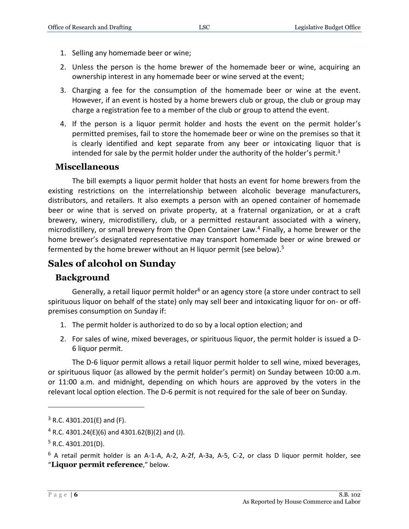- 1. Selling any homemade beer or wine;
- 2. Unless the person is the home brewer of the homemade beer or wine, acquiring an ownership interest in any homemade beer or wine served at the event;
- 3. Charging a fee for the consumption of the homemade beer or wine at the event. However, if an event is hosted by a home brewers club or group, the club or group may charge a registration fee to a member of the club or group to attend the event.
- 4. If the person is a liquor permit holder and hosts the event on the permit holder's permitted premises, fail to store the homemade beer or wine on the premises so that it is clearly identified and kept separate from any beer or intoxicating liquor that is intended for sale by the permit holder under the authority of the holder's permit.<sup>3</sup>

#### <span id="page-5-0"></span>**Miscellaneous**

The bill exempts a liquor permit holder that hosts an event for home brewers from the existing restrictions on the interrelationship between alcoholic beverage manufacturers, distributors, and retailers. It also exempts a person with an opened container of homemade beer or wine that is served on private property, at a fraternal organization, or at a craft brewery, winery, microdistillery, club, or a permitted restaurant associated with a winery, microdistillery, or small brewery from the Open Container Law.<sup>4</sup> Finally, a home brewer or the home brewer's designated representative may transport homemade beer or wine brewed or fermented by the home brewer without an H liquor permit (see below).<sup>5</sup>

#### <span id="page-5-1"></span>**Sales of alcohol on Sunday**

#### <span id="page-5-2"></span>**Background**

Generally, a retail liquor permit holder<sup>6</sup> or an agency store (a store under contract to sell spirituous liquor on behalf of the state) only may sell beer and intoxicating liquor for on- or offpremises consumption on Sunday if:

- 1. The permit holder is authorized to do so by a local option election; and
- 2. For sales of wine, mixed beverages, or spirituous liquor, the permit holder is issued a D-6 liquor permit.

The D-6 liquor permit allows a retail liquor permit holder to sell wine, mixed beverages, or spirituous liquor (as allowed by the permit holder's permit) on Sunday between 10:00 a.m. or 11:00 a.m. and midnight, depending on which hours are approved by the voters in the relevant local option election. The D-6 permit is not required for the sale of beer on Sunday.

 $3$  R.C. 4301.201(E) and (F).

 $4$  R.C. 4301.24(E)(6) and 4301.62(B)(2) and (J).

 $5$  R.C. 4301.201(D).

 $6$  A retail permit holder is an A-1-A, A-2, A-2f, A-3a, A-5, C-2, or class D liquor permit holder, see "**Liquor permit reference**," below.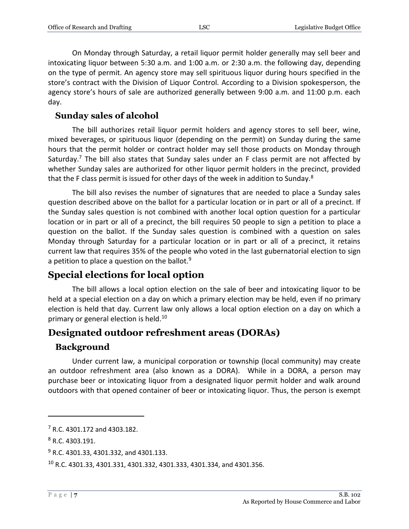On Monday through Saturday, a retail liquor permit holder generally may sell beer and intoxicating liquor between 5:30 a.m. and 1:00 a.m. or 2:30 a.m. the following day, depending on the type of permit. An agency store may sell spirituous liquor during hours specified in the store's contract with the Division of Liquor Control. According to a Division spokesperson, the agency store's hours of sale are authorized generally between 9:00 a.m. and 11:00 p.m. each day.

#### <span id="page-6-0"></span>**Sunday sales of alcohol**

The bill authorizes retail liquor permit holders and agency stores to sell beer, wine, mixed beverages, or spirituous liquor (depending on the permit) on Sunday during the same hours that the permit holder or contract holder may sell those products on Monday through Saturday.<sup>7</sup> The bill also states that Sunday sales under an F class permit are not affected by whether Sunday sales are authorized for other liquor permit holders in the precinct, provided that the F class permit is issued for other days of the week in addition to Sunday. $8$ 

The bill also revises the number of signatures that are needed to place a Sunday sales question described above on the ballot for a particular location or in part or all of a precinct. If the Sunday sales question is not combined with another local option question for a particular location or in part or all of a precinct, the bill requires 50 people to sign a petition to place a question on the ballot. If the Sunday sales question is combined with a question on sales Monday through Saturday for a particular location or in part or all of a precinct, it retains current law that requires 35% of the people who voted in the last gubernatorial election to sign a petition to place a question on the ballot. $9$ 

### <span id="page-6-1"></span>**Special elections for local option**

The bill allows a local option election on the sale of beer and intoxicating liquor to be held at a special election on a day on which a primary election may be held, even if no primary election is held that day. Current law only allows a local option election on a day on which a primary or general election is held.<sup>10</sup>

### <span id="page-6-2"></span>**Designated outdoor refreshment areas (DORAs)**

#### <span id="page-6-3"></span>**Background**

Under current law, a municipal corporation or township (local community) may create an outdoor refreshment area (also known as a DORA). While in a DORA, a person may purchase beer or intoxicating liquor from a designated liquor permit holder and walk around outdoors with that opened container of beer or intoxicating liquor. Thus, the person is exempt

<sup>7</sup> R.C. 4301.172 and 4303.182.

<sup>8</sup> R.C. 4303.191.

<sup>&</sup>lt;sup>9</sup> R.C. 4301.33, 4301.332, and 4301.133.

<sup>10</sup> R.C. 4301.33, 4301.331, 4301.332, 4301.333, 4301.334, and 4301.356.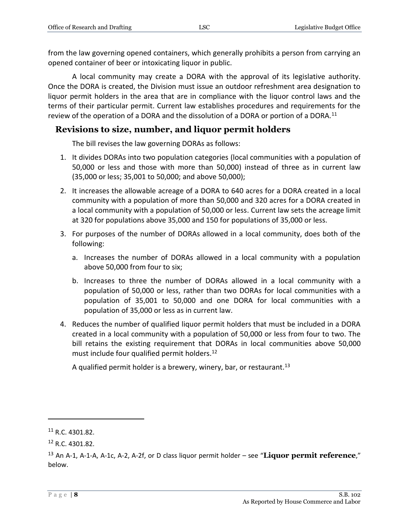from the law governing opened containers, which generally prohibits a person from carrying an opened container of beer or intoxicating liquor in public.

A local community may create a DORA with the approval of its legislative authority. Once the DORA is created, the Division must issue an outdoor refreshment area designation to liquor permit holders in the area that are in compliance with the liquor control laws and the terms of their particular permit. Current law establishes procedures and requirements for the review of the operation of a DORA and the dissolution of a DORA or portion of a DORA.<sup>11</sup>

#### <span id="page-7-0"></span>**Revisions to size, number, and liquor permit holders**

The bill revises the law governing DORAs as follows:

- 1. It divides DORAs into two population categories (local communities with a population of 50,000 or less and those with more than 50,000) instead of three as in current law (35,000 or less; 35,001 to 50,000; and above 50,000);
- 2. It increases the allowable acreage of a DORA to 640 acres for a DORA created in a local community with a population of more than 50,000 and 320 acres for a DORA created in a local community with a population of 50,000 or less. Current law sets the acreage limit at 320 for populations above 35,000 and 150 for populations of 35,000 or less.
- 3. For purposes of the number of DORAs allowed in a local community, does both of the following:
	- a. Increases the number of DORAs allowed in a local community with a population above 50,000 from four to six;
	- b. Increases to three the number of DORAs allowed in a local community with a population of 50,000 or less, rather than two DORAs for local communities with a population of 35,001 to 50,000 and one DORA for local communities with a population of 35,000 or less as in current law.
- 4. Reduces the number of qualified liquor permit holders that must be included in a DORA created in a local community with a population of 50,000 or less from four to two. The bill retains the existing requirement that DORAs in local communities above 50,000 must include four qualified permit holders.<sup>12</sup>

A qualified permit holder is a brewery, winery, bar, or restaurant.<sup>13</sup>

 $11$  R.C. 4301.82.

<sup>12</sup> R.C. 4301.82.

<sup>13</sup> An A-1, A-1-A, A-1c, A-2, A-2f, or D class liquor permit holder – see "**Liquor permit reference**," below.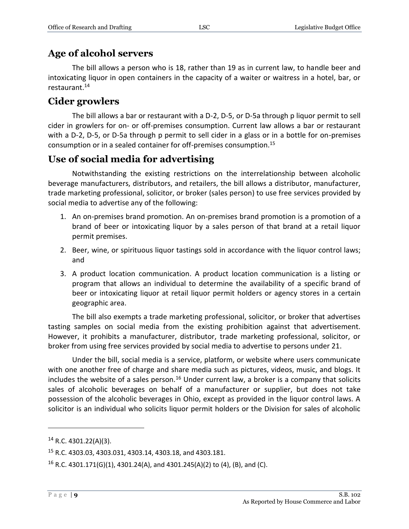### <span id="page-8-0"></span>**Age of alcohol servers**

The bill allows a person who is 18, rather than 19 as in current law, to handle beer and intoxicating liquor in open containers in the capacity of a waiter or waitress in a hotel, bar, or restaurant.<sup>14</sup>

### <span id="page-8-1"></span>**Cider growlers**

The bill allows a bar or restaurant with a D-2, D-5, or D-5a through p liquor permit to sell cider in growlers for on- or off-premises consumption. Current law allows a bar or restaurant with a D-2, D-5, or D-5a through p permit to sell cider in a glass or in a bottle for on-premises consumption or in a sealed container for off-premises consumption.<sup>15</sup>

### <span id="page-8-2"></span>**Use of social media for advertising**

Notwithstanding the existing restrictions on the interrelationship between alcoholic beverage manufacturers, distributors, and retailers, the bill allows a distributor, manufacturer, trade marketing professional, solicitor, or broker (sales person) to use free services provided by social media to advertise any of the following:

- 1. An on-premises brand promotion. An on-premises brand promotion is a promotion of a brand of beer or intoxicating liquor by a sales person of that brand at a retail liquor permit premises.
- 2. Beer, wine, or spirituous liquor tastings sold in accordance with the liquor control laws; and
- 3. A product location communication. A product location communication is a listing or program that allows an individual to determine the availability of a specific brand of beer or intoxicating liquor at retail liquor permit holders or agency stores in a certain geographic area.

The bill also exempts a trade marketing professional, solicitor, or broker that advertises tasting samples on social media from the existing prohibition against that advertisement. However, it prohibits a manufacturer, distributor, trade marketing professional, solicitor, or broker from using free services provided by social media to advertise to persons under 21.

Under the bill, social media is a service, platform, or website where users communicate with one another free of charge and share media such as pictures, videos, music, and blogs. It includes the website of a sales person.<sup>16</sup> Under current law, a broker is a company that solicits sales of alcoholic beverages on behalf of a manufacturer or supplier, but does not take possession of the alcoholic beverages in Ohio, except as provided in the liquor control laws. A solicitor is an individual who solicits liquor permit holders or the Division for sales of alcoholic

<sup>14</sup> R.C. 4301.22(A)(3).

<sup>15</sup> R.C. 4303.03, 4303.031, 4303.14, 4303.18, and 4303.181.

<sup>&</sup>lt;sup>16</sup> R.C. 4301.171(G)(1), 4301.24(A), and 4301.245(A)(2) to (4), (B), and (C).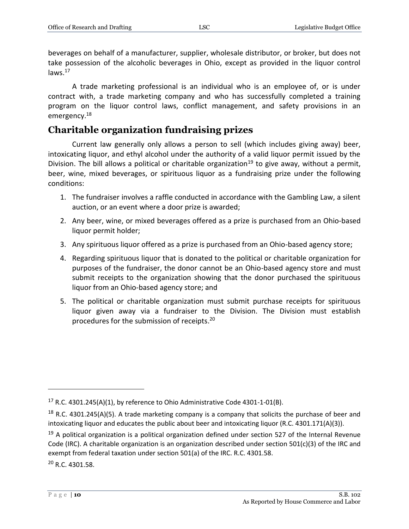beverages on behalf of a manufacturer, supplier, wholesale distributor, or broker, but does not take possession of the alcoholic beverages in Ohio, except as provided in the liquor control laws. $17$ 

A trade marketing professional is an individual who is an employee of, or is under contract with, a trade marketing company and who has successfully completed a training program on the liquor control laws, conflict management, and safety provisions in an emergency.<sup>18</sup>

### <span id="page-9-0"></span>**Charitable organization fundraising prizes**

Current law generally only allows a person to sell (which includes giving away) beer, intoxicating liquor, and ethyl alcohol under the authority of a valid liquor permit issued by the Division. The bill allows a political or charitable organization<sup>19</sup> to give away, without a permit, beer, wine, mixed beverages, or spirituous liquor as a fundraising prize under the following conditions:

- 1. The fundraiser involves a raffle conducted in accordance with the Gambling Law, a silent auction, or an event where a door prize is awarded;
- 2. Any beer, wine, or mixed beverages offered as a prize is purchased from an Ohio-based liquor permit holder;
- 3. Any spirituous liquor offered as a prize is purchased from an Ohio-based agency store;
- 4. Regarding spirituous liquor that is donated to the political or charitable organization for purposes of the fundraiser, the donor cannot be an Ohio-based agency store and must submit receipts to the organization showing that the donor purchased the spirituous liquor from an Ohio-based agency store; and
- <span id="page-9-1"></span>5. The political or charitable organization must submit purchase receipts for spirituous liquor given away via a fundraiser to the Division. The Division must establish procedures for the submission of receipts. 20

P a g e | **10** S.B. 102 As Reported by House Commerce and Labor

<sup>&</sup>lt;sup>17</sup> R.C. 4301.245(A)(1), by reference to Ohio Administrative Code 4301-1-01(B).

<sup>&</sup>lt;sup>18</sup> R.C. 4301.245(A)(5). A trade marketing company is a company that solicits the purchase of beer and intoxicating liquor and educates the public about beer and intoxicating liquor (R.C. 4301.171(A)(3)).

 $19$  A political organization is a political organization defined under section 527 of the Internal Revenue Code (IRC). A charitable organization is an organization described under section 501(c)(3) of the IRC and exempt from federal taxation under section 501(a) of the IRC. R.C. 4301.58. <sup>20</sup> R.C. 4301.58.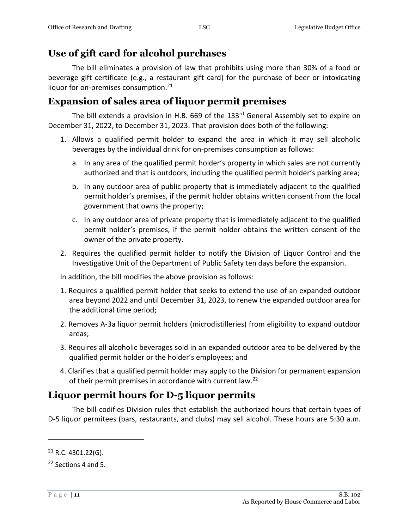### **Use of gift card for alcohol purchases**

The bill eliminates a provision of law that prohibits using more than 30% of a food or beverage gift certificate (e.g., a restaurant gift card) for the purchase of beer or intoxicating liquor for on-premises consumption.<sup>21</sup>

### <span id="page-10-0"></span>**Expansion of sales area of liquor permit premises**

The bill extends a provision in H.B. 669 of the 133<sup>rd</sup> General Assembly set to expire on December 31, 2022, to December 31, 2023. That provision does both of the following:

- 1. Allows a qualified permit holder to expand the area in which it may sell alcoholic beverages by the individual drink for on-premises consumption as follows:
	- a. In any area of the qualified permit holder's property in which sales are not currently authorized and that is outdoors, including the qualified permit holder's parking area;
	- b. In any outdoor area of public property that is immediately adjacent to the qualified permit holder's premises, if the permit holder obtains written consent from the local government that owns the property;
	- c. In any outdoor area of private property that is immediately adjacent to the qualified permit holder's premises, if the permit holder obtains the written consent of the owner of the private property.
- 2. Requires the qualified permit holder to notify the Division of Liquor Control and the Investigative Unit of the Department of Public Safety ten days before the expansion.

In addition, the bill modifies the above provision as follows:

- 1. Requires a qualified permit holder that seeks to extend the use of an expanded outdoor area beyond 2022 and until December 31, 2023, to renew the expanded outdoor area for the additional time period;
- 2. Removes A-3a liquor permit holders (microdistilleries) from eligibility to expand outdoor areas;
- 3. Requires all alcoholic beverages sold in an expanded outdoor area to be delivered by the qualified permit holder or the holder's employees; and
- 4. Clarifies that a qualified permit holder may apply to the Division for permanent expansion of their permit premises in accordance with current law.<sup>22</sup>

### <span id="page-10-1"></span>**Liquor permit hours for D-5 liquor permits**

The bill codifies Division rules that establish the authorized hours that certain types of D-5 liquor permitees (bars, restaurants, and clubs) may sell alcohol. These hours are 5:30 a.m.

<sup>21</sup> R.C. 4301.22(G).

<sup>22</sup> Sections 4 and 5.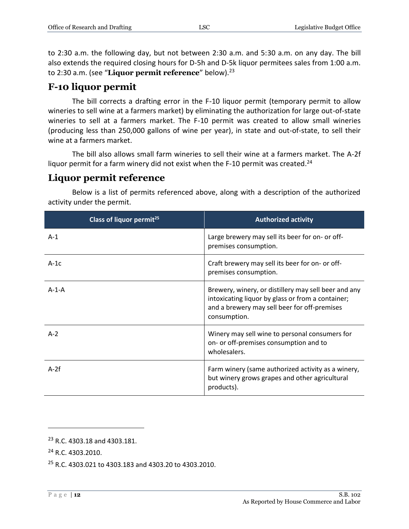to 2:30 a.m. the following day, but not between 2:30 a.m. and 5:30 a.m. on any day. The bill also extends the required closing hours for D-5h and D-5k liquor permitees sales from 1:00 a.m. to 2:30 a.m. (see "Liquor permit reference" below).<sup>23</sup>

### <span id="page-11-0"></span>**F-10 liquor permit**

The bill corrects a drafting error in the F-10 liquor permit (temporary permit to allow wineries to sell wine at a farmers market) by eliminating the authorization for large out-of-state wineries to sell at a farmers market. The F-10 permit was created to allow small wineries (producing less than 250,000 gallons of wine per year), in state and out-of-state, to sell their wine at a farmers market.

The bill also allows small farm wineries to sell their wine at a farmers market. The A-2f liquor permit for a farm winery did not exist when the F-10 permit was created.<sup>24</sup>

#### <span id="page-11-1"></span>**Liquor permit reference**

**Class of liquor permit<sup>25</sup> Authorized activity** A-1 Large brewery may sell its beer for on- or offpremises consumption. A-1c <br>
A-1c <br>
Craft brewery may sell its beer for on- or offpremises consumption. A-1-A Brewery, winery, or distillery may sell beer and any intoxicating liquor by glass or from a container; and a brewery may sell beer for off-premises consumption. A-2 Winery may sell wine to personal consumers for on- or off-premises consumption and to wholesalers. A-2f **Farm winery (same authorized activity as a winery,**  $\blacksquare$ but winery grows grapes and other agricultural products).

Below is a list of permits referenced above, along with a description of the authorized activity under the permit.

<sup>23</sup> R.C. 4303.18 and 4303.181.

<sup>&</sup>lt;sup>24</sup> R.C. 4303.2010.

<sup>25</sup> R.C. 4303.021 to 4303.183 and 4303.20 to 4303.2010.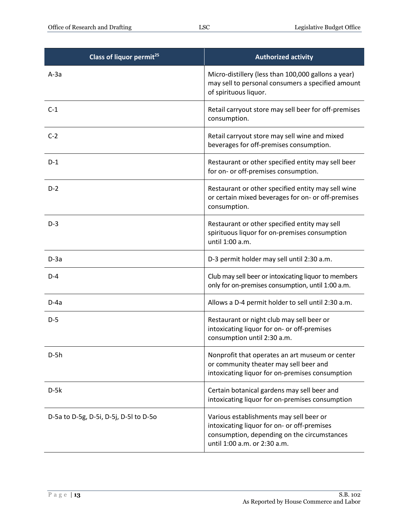| Class of liquor permit <sup>25</sup>   | <b>Authorized activity</b>                                                                                                                                            |
|----------------------------------------|-----------------------------------------------------------------------------------------------------------------------------------------------------------------------|
| $A-3a$                                 | Micro-distillery (less than 100,000 gallons a year)<br>may sell to personal consumers a specified amount<br>of spirituous liquor.                                     |
| $C-1$                                  | Retail carryout store may sell beer for off-premises<br>consumption.                                                                                                  |
| $C-2$                                  | Retail carryout store may sell wine and mixed<br>beverages for off-premises consumption.                                                                              |
| $D-1$                                  | Restaurant or other specified entity may sell beer<br>for on- or off-premises consumption.                                                                            |
| $D-2$                                  | Restaurant or other specified entity may sell wine<br>or certain mixed beverages for on- or off-premises<br>consumption.                                              |
| $D-3$                                  | Restaurant or other specified entity may sell<br>spirituous liquor for on-premises consumption<br>until 1:00 a.m.                                                     |
| $D-3a$                                 | D-3 permit holder may sell until 2:30 a.m.                                                                                                                            |
| $D-4$                                  | Club may sell beer or intoxicating liquor to members<br>only for on-premises consumption, until 1:00 a.m.                                                             |
| $D-4a$                                 | Allows a D-4 permit holder to sell until 2:30 a.m.                                                                                                                    |
| $D-5$                                  | Restaurant or night club may sell beer or<br>intoxicating liquor for on- or off-premises<br>consumption until 2:30 a.m.                                               |
| $D-5h$                                 | Nonprofit that operates an art museum or center<br>or community theater may sell beer and<br>intoxicating liquor for on-premises consumption                          |
| $D-5k$                                 | Certain botanical gardens may sell beer and<br>intoxicating liquor for on-premises consumption                                                                        |
| D-5a to D-5g, D-5i, D-5j, D-5l to D-5o | Various establishments may sell beer or<br>intoxicating liquor for on- or off-premises<br>consumption, depending on the circumstances<br>until 1:00 a.m. or 2:30 a.m. |